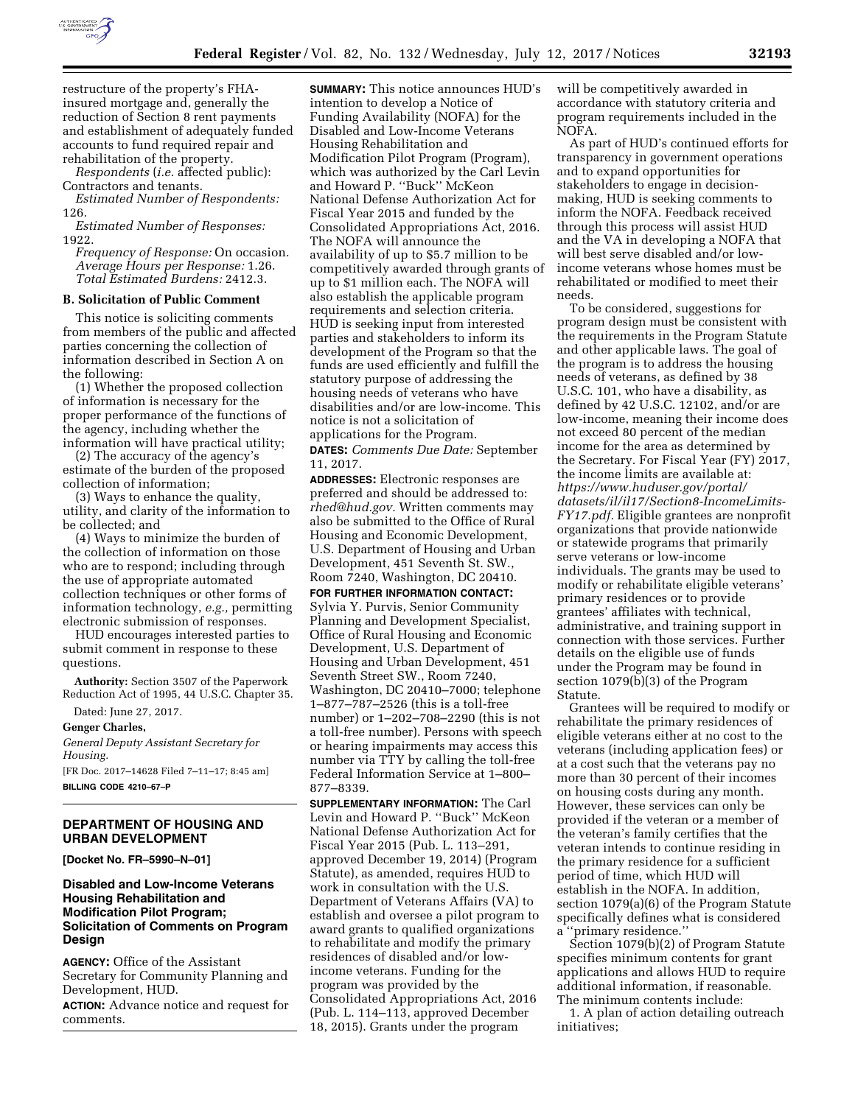

restructure of the property's FHAinsured mortgage and, generally the reduction of Section 8 rent payments

accounts to fund required repair and rehabilitation of the property. *Respondents* (*i.e.* affected public):

and establishment of adequately funded

Contractors and tenants. *Estimated Number of Respondents:*  126.

*Estimated Number of Responses:*  1922.

*Frequency of Response:* On occasion. *Average Hours per Response:* 1.26. *Total Estimated Burdens:* 2412.3.

# **B. Solicitation of Public Comment**

This notice is soliciting comments from members of the public and affected parties concerning the collection of information described in Section A on the following:

(1) Whether the proposed collection of information is necessary for the proper performance of the functions of the agency, including whether the information will have practical utility;

(2) The accuracy of the agency's estimate of the burden of the proposed collection of information;

(3) Ways to enhance the quality, utility, and clarity of the information to be collected; and

(4) Ways to minimize the burden of the collection of information on those who are to respond; including through the use of appropriate automated collection techniques or other forms of information technology, *e.g.,* permitting electronic submission of responses.

HUD encourages interested parties to submit comment in response to these questions.

**Authority:** Section 3507 of the Paperwork Reduction Act of 1995, 44 U.S.C. Chapter 35.

Dated: June 27, 2017.

**Genger Charles,** 

*General Deputy Assistant Secretary for Housing.*  [FR Doc. 2017–14628 Filed 7–11–17; 8:45 am]

**BILLING CODE 4210–67–P** 

#### **DEPARTMENT OF HOUSING AND URBAN DEVELOPMENT**

**[Docket No. FR–5990–N–01]** 

#### **Disabled and Low-Income Veterans Housing Rehabilitation and Modification Pilot Program; Solicitation of Comments on Program Design**

**AGENCY:** Office of the Assistant Secretary for Community Planning and Development, HUD.

**ACTION:** Advance notice and request for comments.

**SUMMARY:** This notice announces HUD's intention to develop a Notice of Funding Availability (NOFA) for the Disabled and Low-Income Veterans Housing Rehabilitation and Modification Pilot Program (Program), which was authorized by the Carl Levin and Howard P. ''Buck'' McKeon National Defense Authorization Act for Fiscal Year 2015 and funded by the Consolidated Appropriations Act, 2016. The NOFA will announce the availability of up to \$5.7 million to be competitively awarded through grants of up to \$1 million each. The NOFA will also establish the applicable program requirements and selection criteria. HUD is seeking input from interested parties and stakeholders to inform its development of the Program so that the funds are used efficiently and fulfill the statutory purpose of addressing the housing needs of veterans who have disabilities and/or are low-income. This notice is not a solicitation of applications for the Program.

**DATES:** *Comments Due Date:* September 11, 2017.

**ADDRESSES:** Electronic responses are preferred and should be addressed to: *[rhed@hud.gov.](mailto:rhed@hud.gov)* Written comments may also be submitted to the Office of Rural Housing and Economic Development, U.S. Department of Housing and Urban Development, 451 Seventh St. SW., Room 7240, Washington, DC 20410.

**FOR FURTHER INFORMATION CONTACT:**  Sylvia Y. Purvis, Senior Community Planning and Development Specialist, Office of Rural Housing and Economic Development, U.S. Department of Housing and Urban Development, 451 Seventh Street SW., Room 7240, Washington, DC 20410–7000; telephone 1–877–787–2526 (this is a toll-free number) or 1–202–708–2290 (this is not a toll-free number). Persons with speech or hearing impairments may access this number via TTY by calling the toll-free Federal Information Service at 1–800– 877–8339.

**SUPPLEMENTARY INFORMATION:** The Carl Levin and Howard P. ''Buck'' McKeon National Defense Authorization Act for Fiscal Year 2015 (Pub. L. 113–291, approved December 19, 2014) (Program Statute), as amended, requires HUD to work in consultation with the U.S. Department of Veterans Affairs (VA) to establish and oversee a pilot program to award grants to qualified organizations to rehabilitate and modify the primary residences of disabled and/or lowincome veterans. Funding for the program was provided by the Consolidated Appropriations Act, 2016 (Pub. L. 114–113, approved December 18, 2015). Grants under the program

will be competitively awarded in accordance with statutory criteria and program requirements included in the NOFA.

As part of HUD's continued efforts for transparency in government operations and to expand opportunities for stakeholders to engage in decisionmaking, HUD is seeking comments to inform the NOFA. Feedback received through this process will assist HUD and the VA in developing a NOFA that will best serve disabled and/or lowincome veterans whose homes must be rehabilitated or modified to meet their needs.

To be considered, suggestions for program design must be consistent with the requirements in the Program Statute and other applicable laws. The goal of the program is to address the housing needs of veterans, as defined by 38 U.S.C. 101, who have a disability, as defined by 42 U.S.C. 12102, and/or are low-income, meaning their income does not exceed 80 percent of the median income for the area as determined by the Secretary. For Fiscal Year (FY) 2017, the income limits are available at: *[https://www.huduser.gov/portal/](https://www.huduser.gov/portal/datasets/il/il17/Section8-IncomeLimits-FY17.pdf) [datasets/il/il17/Section8-IncomeLimits-](https://www.huduser.gov/portal/datasets/il/il17/Section8-IncomeLimits-FY17.pdf)[FY17.pdf.](https://www.huduser.gov/portal/datasets/il/il17/Section8-IncomeLimits-FY17.pdf)* Eligible grantees are nonprofit organizations that provide nationwide or statewide programs that primarily serve veterans or low-income individuals. The grants may be used to modify or rehabilitate eligible veterans' primary residences or to provide grantees' affiliates with technical, administrative, and training support in connection with those services. Further details on the eligible use of funds under the Program may be found in section 1079(b)(3) of the Program Statute.

Grantees will be required to modify or rehabilitate the primary residences of eligible veterans either at no cost to the veterans (including application fees) or at a cost such that the veterans pay no more than 30 percent of their incomes on housing costs during any month. However, these services can only be provided if the veteran or a member of the veteran's family certifies that the veteran intends to continue residing in the primary residence for a sufficient period of time, which HUD will establish in the NOFA. In addition, section 1079(a)(6) of the Program Statute specifically defines what is considered a ''primary residence.''

Section 1079(b)(2) of Program Statute specifies minimum contents for grant applications and allows HUD to require additional information, if reasonable. The minimum contents include:

1. A plan of action detailing outreach initiatives;